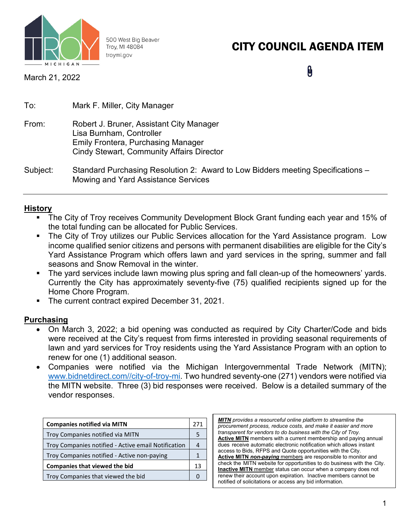

500 West Big Beaver Troy, MI 48084 troymi.gov

# CITY COUNCIL AGENDA ITEM

March 21, 2022

 $\pmb{\theta}$ 

| To:   | Mark F. Miller, City Manager                                         |
|-------|----------------------------------------------------------------------|
| From: | Robert J. Bruner, Assistant City Manager<br>Lisa Burnham, Controller |
|       | <b>Emily Frontera, Purchasing Manager</b>                            |
|       | <b>Cindy Stewart, Community Affairs Director</b>                     |

Subject: Standard Purchasing Resolution 2: Award to Low Bidders meeting Specifications – Mowing and Yard Assistance Services

## **History**

- The City of Troy receives Community Development Block Grant funding each year and 15% of the total funding can be allocated for Public Services.
- The City of Troy utilizes our Public Services allocation for the Yard Assistance program. Low income qualified senior citizens and persons with permanent disabilities are eligible for the City's Yard Assistance Program which offers lawn and yard services in the spring, summer and fall seasons and Snow Removal in the winter.
- The yard services include lawn mowing plus spring and fall clean-up of the homeowners' yards. Currently the City has approximately seventy-five (75) qualified recipients signed up for the Home Chore Program.
- **The current contract expired December 31, 2021.**

#### **Purchasing**

- On March 3, 2022; a bid opening was conducted as required by City Charter/Code and bids were received at the City's request from firms interested in providing seasonal requirements of lawn and yard services for Troy residents using the Yard Assistance Program with an option to renew for one (1) additional season.
- Companies were notified via the Michigan Intergovernmental Trade Network (MITN); [www.bidnetdirect.com//city-of-troy-mi.](http://www.bidnetdirect.com/city-of-troy-mi) Two hundred seventy-one (271) vendors were notified via the MITN website. Three (3) bid responses were received. Below is a detailed summary of the vendor responses.

| <b>Companies notified via MITN</b>                  |  |  |
|-----------------------------------------------------|--|--|
| Troy Companies notified via MITN                    |  |  |
| Troy Companies notified - Active email Notification |  |  |
| Troy Companies notified - Active non-paying         |  |  |
| <b>Companies that viewed the bid</b>                |  |  |
| Troy Companies that viewed the bid                  |  |  |

*MITN provides a resourceful online platform to streamline the procurement process, reduce costs, and make it easier and more transparent for vendors to do business with the City of Troy.* **Active MITN** members with a current membership and paying annual dues receive automatic electronic notification which allows instant access to Bids, RFPS and Quote opportunities with the City. **Active MITN** *non-paying* members are responsible to monitor and check the MITN website for opportunities to do business with the City. **Inactive MITN** member status can occur when a company does not renew their account upon expiration. Inactive members cannot be notified of solicitations or access any bid information.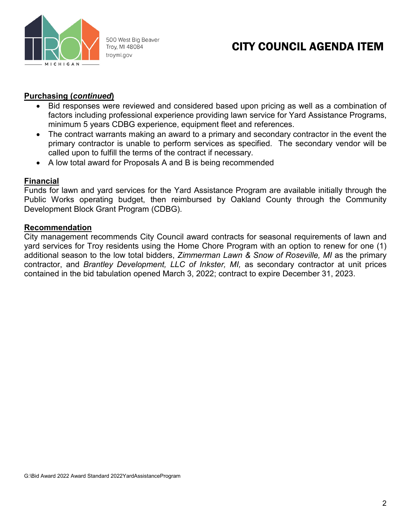

500 West Big Beaver Troy, MI 48084 troymi.gov

## CITY COUNCIL AGENDA ITEM

### **Purchasing (***continued***)**

- Bid responses were reviewed and considered based upon pricing as well as a combination of factors including professional experience providing lawn service for Yard Assistance Programs, minimum 5 years CDBG experience, equipment fleet and references.
- The contract warrants making an award to a primary and secondary contractor in the event the primary contractor is unable to perform services as specified. The secondary vendor will be called upon to fulfill the terms of the contract if necessary.
- A low total award for Proposals A and B is being recommended

#### **Financial**

Funds for lawn and yard services for the Yard Assistance Program are available initially through the Public Works operating budget, then reimbursed by Oakland County through the Community Development Block Grant Program (CDBG).

#### **Recommendation**

City management recommends City Council award contracts for seasonal requirements of lawn and yard services for Troy residents using the Home Chore Program with an option to renew for one (1) additional season to the low total bidders, *Zimmerman Lawn & Snow of Roseville, MI* as the primary contractor, and *Brantley Development, LLC of Inkster, MI,* as secondary contractor at unit prices contained in the bid tabulation opened March 3, 2022; contract to expire December 31, 2023.